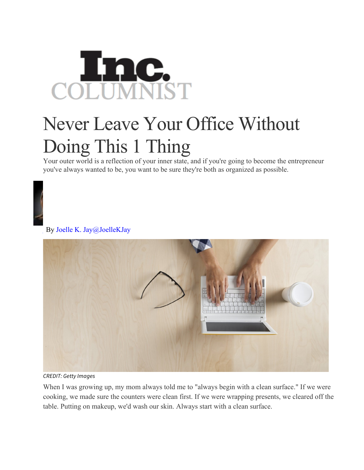## **Enc.**<br>LUMNIST COI

## Never Leave Your Office Without Doing This 1 Thing

Your outer world is a reflection of your inner state, and if you're going to become the entrepreneur you've always wanted to be, you want to be sure they're both as organized as possible.



By Joelle K. Jay@JoelleKJay



*CREDIT: Getty Images*

When I was growing up, my mom always told me to "always begin with a clean surface." If we were cooking, we made sure the counters were clean first. If we were wrapping presents, we cleared off the table. Putting on makeup, we'd wash our skin. Always start with a clean surface.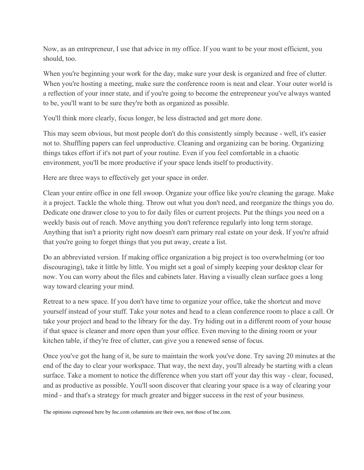Now, as an entrepreneur, I use that advice in my office. If you want to be your most efficient, you should, too.

When you're beginning your work for the day, make sure your desk is organized and free of clutter. When you're hosting a meeting, make sure the conference room is neat and clear. Your outer world is a reflection of your inner state, and if you're going to become the entrepreneur you've always wanted to be, you'll want to be sure they're both as organized as possible.

You'll think more clearly, focus longer, be less distracted and get more done.

This may seem obvious, but most people don't do this consistently simply because - well, it's easier not to. Shuffling papers can feel unproductive. Cleaning and organizing can be boring. Organizing things takes effort if it's not part of your routine. Even if you feel comfortable in a chaotic environment, you'll be more productive if your space lends itself to productivity.

Here are three ways to effectively get your space in order.

Clean your entire office in one fell swoop. Organize your office like you're cleaning the garage. Make it a project. Tackle the whole thing. Throw out what you don't need, and reorganize the things you do. Dedicate one drawer close to you to for daily files or current projects. Put the things you need on a weekly basis out of reach. Move anything you don't reference regularly into long term storage. Anything that isn't a priority right now doesn't earn primary real estate on your desk. If you're afraid that you're going to forget things that you put away, create a list.

Do an abbreviated version. If making office organization a big project is too overwhelming (or too discouraging), take it little by little. You might set a goal of simply keeping your desktop clear for now. You can worry about the files and cabinets later. Having a visually clean surface goes a long way toward clearing your mind.

Retreat to a new space. If you don't have time to organize your office, take the shortcut and move yourself instead of your stuff. Take your notes and head to a clean conference room to place a call. Or take your project and head to the library for the day. Try hiding out in a different room of your house if that space is cleaner and more open than your office. Even moving to the dining room or your kitchen table, if they're free of clutter, can give you a renewed sense of focus.

Once you've got the hang of it, be sure to maintain the work you've done. Try saving 20 minutes at the end of the day to clear your workspace. That way, the next day, you'll already be starting with a clean surface. Take a moment to notice the difference when you start off your day this way - clear, focused, and as productive as possible. You'll soon discover that clearing your space is a way of clearing your mind - and that's a strategy for much greater and bigger success in the rest of your business.

The opinions expressed here by Inc.com columnists are their own, not those of Inc.com.